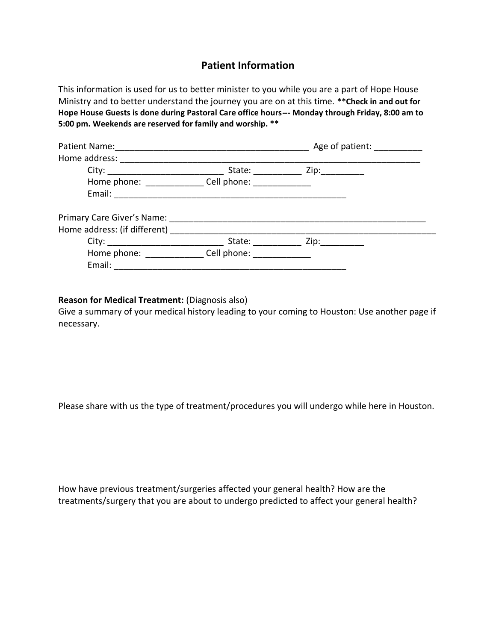## **Patient Information**

This information is used for us to better minister to you while you are a part of Hope House Ministry and to better understand the journey you are on at this time. **\*\*Check in and out for Hope House Guests is done during Pastoral Care office hours--- Monday through Friday, 8:00 am to 5:00 pm. Weekends are reserved for family and worship. \*\*** 

|                                                        | Age of patient: 1992                      |  |
|--------------------------------------------------------|-------------------------------------------|--|
| Home address:                                          |                                           |  |
|                                                        | State: ________________ Zip: ____________ |  |
| Home phone: ________________ Cell phone: _____________ |                                           |  |
|                                                        |                                           |  |
|                                                        |                                           |  |
| Home address: (if different) _________                 |                                           |  |
|                                                        |                                           |  |
| Home phone: Cell phone: Cell phone:                    |                                           |  |
| Email: _______________                                 |                                           |  |

## **Reason for Medical Treatment:** (Diagnosis also)

Give a summary of your medical history leading to your coming to Houston: Use another page if necessary.

Please share with us the type of treatment/procedures you will undergo while here in Houston.

How have previous treatment/surgeries affected your general health? How are the treatments/surgery that you are about to undergo predicted to affect your general health?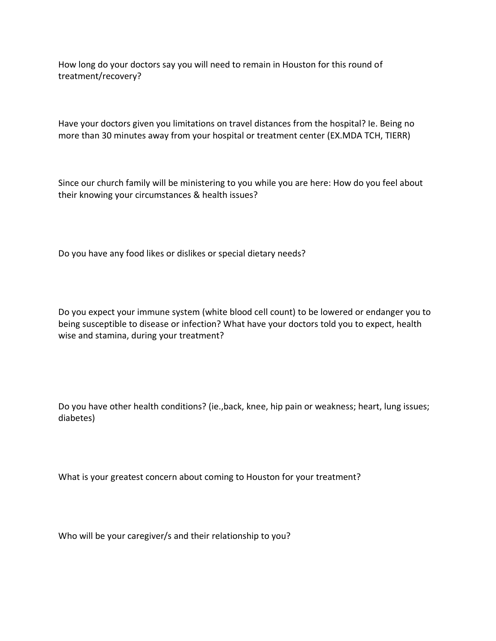How long do your doctors say you will need to remain in Houston for this round of treatment/recovery?

Have your doctors given you limitations on travel distances from the hospital? Ie. Being no more than 30 minutes away from your hospital or treatment center (EX.MDA TCH, TIERR)

Since our church family will be ministering to you while you are here: How do you feel about their knowing your circumstances & health issues?

Do you have any food likes or dislikes or special dietary needs?

Do you expect your immune system (white blood cell count) to be lowered or endanger you to being susceptible to disease or infection? What have your doctors told you to expect, health wise and stamina, during your treatment?

Do you have other health conditions? (ie.,back, knee, hip pain or weakness; heart, lung issues; diabetes)

What is your greatest concern about coming to Houston for your treatment?

Who will be your caregiver/s and their relationship to you?